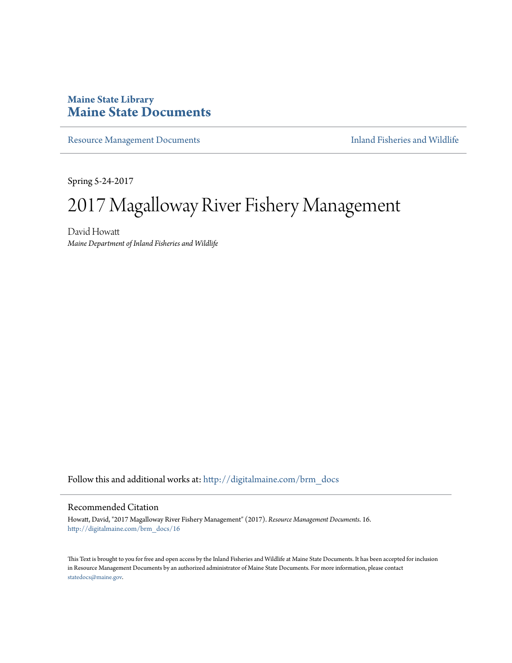### **Maine State Library [Maine State Documents](http://digitalmaine.com?utm_source=digitalmaine.com%2Fbrm_docs%2F16&utm_medium=PDF&utm_campaign=PDFCoverPages)**

[Resource Management Documents](http://digitalmaine.com/brm_docs?utm_source=digitalmaine.com%2Fbrm_docs%2F16&utm_medium=PDF&utm_campaign=PDFCoverPages) **[Inland Fisheries and Wildlife](http://digitalmaine.com/ifw?utm_source=digitalmaine.com%2Fbrm_docs%2F16&utm_medium=PDF&utm_campaign=PDFCoverPages)** 

Spring 5-24-2017

### 2017 Magalloway River Fishery Management

David Howatt *Maine Department of Inland Fisheries and Wildlife*

Follow this and additional works at: [http://digitalmaine.com/brm\\_docs](http://digitalmaine.com/brm_docs?utm_source=digitalmaine.com%2Fbrm_docs%2F16&utm_medium=PDF&utm_campaign=PDFCoverPages)

#### Recommended Citation

Howatt, David, "2017 Magalloway River Fishery Management" (2017). *Resource Management Documents*. 16. [http://digitalmaine.com/brm\\_docs/16](http://digitalmaine.com/brm_docs/16?utm_source=digitalmaine.com%2Fbrm_docs%2F16&utm_medium=PDF&utm_campaign=PDFCoverPages)

This Text is brought to you for free and open access by the Inland Fisheries and Wildlife at Maine State Documents. It has been accepted for inclusion in Resource Management Documents by an authorized administrator of Maine State Documents. For more information, please contact [statedocs@maine.gov.](mailto:statedocs@maine.gov)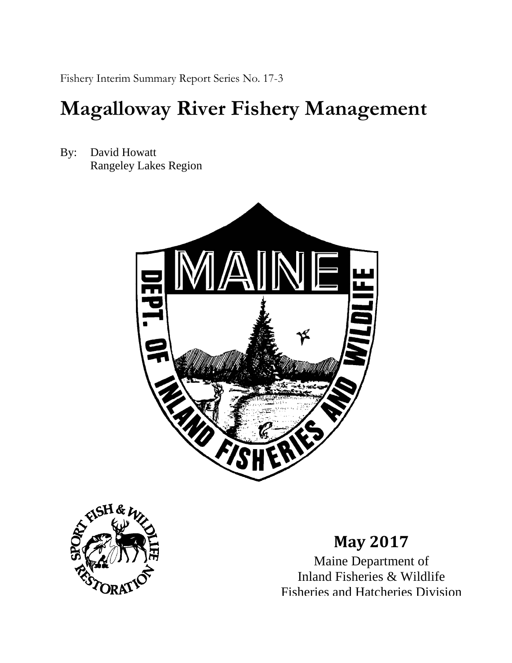Fishery Interim Summary Report Series No. 17-3

## **Magalloway River Fishery Management**

By: David Howatt Rangeley Lakes Region





### **May 2017**

Maine Department of Inland Fisheries & Wildlife Fisheries and Hatcheries Division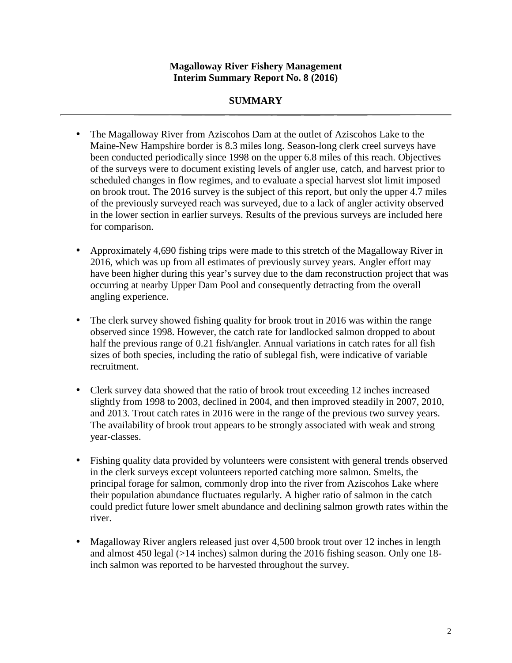#### **SUMMARY**

- The Magalloway River from Aziscohos Dam at the outlet of Aziscohos Lake to the Maine-New Hampshire border is 8.3 miles long. Season-long clerk creel surveys have been conducted periodically since 1998 on the upper 6.8 miles of this reach. Objectives of the surveys were to document existing levels of angler use, catch, and harvest prior to scheduled changes in flow regimes, and to evaluate a special harvest slot limit imposed on brook trout. The 2016 survey is the subject of this report, but only the upper 4.7 miles of the previously surveyed reach was surveyed, due to a lack of angler activity observed in the lower section in earlier surveys. Results of the previous surveys are included here for comparison.
- Approximately 4,690 fishing trips were made to this stretch of the Magalloway River in 2016, which was up from all estimates of previously survey years. Angler effort may have been higher during this year's survey due to the dam reconstruction project that was occurring at nearby Upper Dam Pool and consequently detracting from the overall angling experience.
- The clerk survey showed fishing quality for brook trout in 2016 was within the range observed since 1998. However, the catch rate for landlocked salmon dropped to about half the previous range of 0.21 fish/angler. Annual variations in catch rates for all fish sizes of both species, including the ratio of sublegal fish, were indicative of variable recruitment.
- Clerk survey data showed that the ratio of brook trout exceeding 12 inches increased slightly from 1998 to 2003, declined in 2004, and then improved steadily in 2007, 2010, and 2013. Trout catch rates in 2016 were in the range of the previous two survey years. The availability of brook trout appears to be strongly associated with weak and strong year-classes.
- Fishing quality data provided by volunteers were consistent with general trends observed in the clerk surveys except volunteers reported catching more salmon. Smelts, the principal forage for salmon, commonly drop into the river from Aziscohos Lake where their population abundance fluctuates regularly. A higher ratio of salmon in the catch could predict future lower smelt abundance and declining salmon growth rates within the river.
- Magalloway River anglers released just over 4,500 brook trout over 12 inches in length and almost 450 legal (>14 inches) salmon during the 2016 fishing season. Only one 18 inch salmon was reported to be harvested throughout the survey.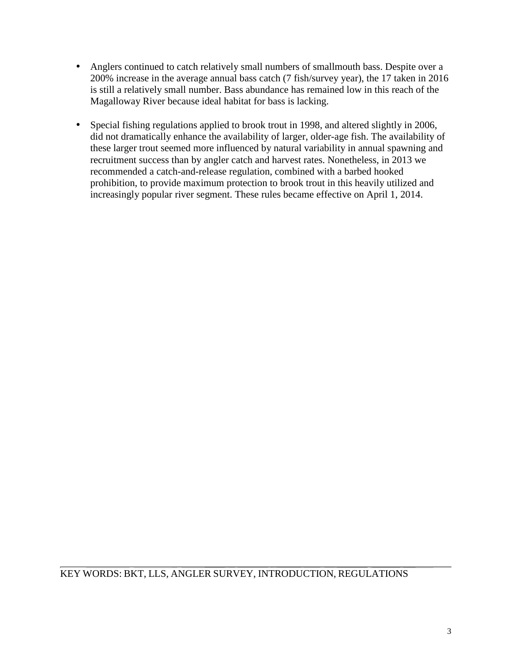- Anglers continued to catch relatively small numbers of smallmouth bass. Despite over a 200% increase in the average annual bass catch (7 fish/survey year), the 17 taken in 2016 is still a relatively small number. Bass abundance has remained low in this reach of the Magalloway River because ideal habitat for bass is lacking.
- Special fishing regulations applied to brook trout in 1998, and altered slightly in 2006, did not dramatically enhance the availability of larger, older-age fish. The availability of these larger trout seemed more influenced by natural variability in annual spawning and recruitment success than by angler catch and harvest rates. Nonetheless, in 2013 we recommended a catch-and-release regulation, combined with a barbed hooked prohibition, to provide maximum protection to brook trout in this heavily utilized and increasingly popular river segment. These rules became effective on April 1, 2014.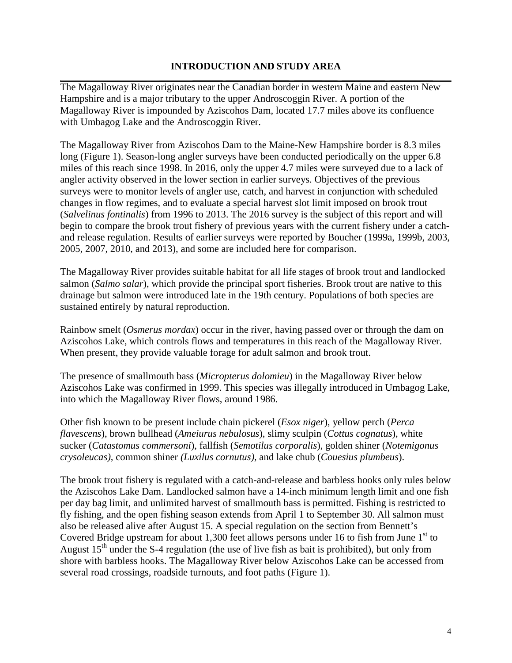#### **INTRODUCTION AND STUDY AREA**

The Magalloway River originates near the Canadian border in western Maine and eastern New Hampshire and is a major tributary to the upper Androscoggin River. A portion of the Magalloway River is impounded by Aziscohos Dam, located 17.7 miles above its confluence with Umbagog Lake and the Androscoggin River.

The Magalloway River from Aziscohos Dam to the Maine-New Hampshire border is 8.3 miles long (Figure 1). Season-long angler surveys have been conducted periodically on the upper 6.8 miles of this reach since 1998. In 2016, only the upper 4.7 miles were surveyed due to a lack of angler activity observed in the lower section in earlier surveys. Objectives of the previous surveys were to monitor levels of angler use, catch, and harvest in conjunction with scheduled changes in flow regimes, and to evaluate a special harvest slot limit imposed on brook trout (*Salvelinus fontinalis*) from 1996 to 2013. The 2016 survey is the subject of this report and will begin to compare the brook trout fishery of previous years with the current fishery under a catchand release regulation. Results of earlier surveys were reported by Boucher (1999a, 1999b, 2003, 2005, 2007, 2010, and 2013), and some are included here for comparison.

The Magalloway River provides suitable habitat for all life stages of brook trout and landlocked salmon (*Salmo salar*), which provide the principal sport fisheries. Brook trout are native to this drainage but salmon were introduced late in the 19th century. Populations of both species are sustained entirely by natural reproduction.

Rainbow smelt (*Osmerus mordax*) occur in the river, having passed over or through the dam on Aziscohos Lake, which controls flows and temperatures in this reach of the Magalloway River. When present, they provide valuable forage for adult salmon and brook trout.

The presence of smallmouth bass (*Micropterus dolomieu*) in the Magalloway River below Aziscohos Lake was confirmed in 1999. This species was illegally introduced in Umbagog Lake, into which the Magalloway River flows, around 1986.

Other fish known to be present include chain pickerel (*Esox niger*), yellow perch (*Perca flavescens*), brown bullhead (*Ameiurus nebulosus*), slimy sculpin (*Cottus cognatus*), white sucker (*Catastomus commersoni*), fallfish (*Semotilus corporalis*), golden shiner (*Notemigonus crysoleucas),* common shiner *(Luxilus cornutus),* and lake chub (*Couesius plumbeus*).

The brook trout fishery is regulated with a catch-and-release and barbless hooks only rules below the Aziscohos Lake Dam. Landlocked salmon have a 14-inch minimum length limit and one fish per day bag limit, and unlimited harvest of smallmouth bass is permitted. Fishing is restricted to fly fishing, and the open fishing season extends from April 1 to September 30. All salmon must also be released alive after August 15. A special regulation on the section from Bennett's Covered Bridge upstream for about 1,300 feet allows persons under 16 to fish from June  $1<sup>st</sup>$  to August  $15<sup>th</sup>$  under the S-4 regulation (the use of live fish as bait is prohibited), but only from shore with barbless hooks. The Magalloway River below Aziscohos Lake can be accessed from several road crossings, roadside turnouts, and foot paths (Figure 1).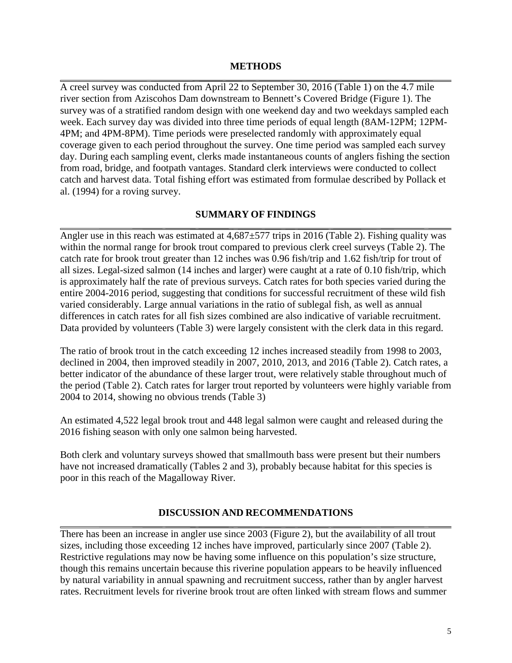#### **METHODS**

A creel survey was conducted from April 22 to September 30, 2016 (Table 1) on the 4.7 mile river section from Aziscohos Dam downstream to Bennett's Covered Bridge (Figure 1). The survey was of a stratified random design with one weekend day and two weekdays sampled each week. Each survey day was divided into three time periods of equal length (8AM-12PM; 12PM-4PM; and 4PM-8PM). Time periods were preselected randomly with approximately equal coverage given to each period throughout the survey. One time period was sampled each survey day. During each sampling event, clerks made instantaneous counts of anglers fishing the section from road, bridge, and footpath vantages. Standard clerk interviews were conducted to collect catch and harvest data. Total fishing effort was estimated from formulae described by Pollack et al. (1994) for a roving survey.

#### **SUMMARY OF FINDINGS**

Angler use in this reach was estimated at  $4.687 \pm 577$  trips in 2016 (Table 2). Fishing quality was within the normal range for brook trout compared to previous clerk creel surveys (Table 2). The catch rate for brook trout greater than 12 inches was 0.96 fish/trip and 1.62 fish/trip for trout of all sizes. Legal-sized salmon (14 inches and larger) were caught at a rate of 0.10 fish/trip, which is approximately half the rate of previous surveys. Catch rates for both species varied during the entire 2004-2016 period, suggesting that conditions for successful recruitment of these wild fish varied considerably. Large annual variations in the ratio of sublegal fish, as well as annual differences in catch rates for all fish sizes combined are also indicative of variable recruitment. Data provided by volunteers (Table 3) were largely consistent with the clerk data in this regard.

The ratio of brook trout in the catch exceeding 12 inches increased steadily from 1998 to 2003, declined in 2004, then improved steadily in 2007, 2010, 2013, and 2016 (Table 2). Catch rates, a better indicator of the abundance of these larger trout, were relatively stable throughout much of the period (Table 2). Catch rates for larger trout reported by volunteers were highly variable from 2004 to 2014, showing no obvious trends (Table 3)

An estimated 4,522 legal brook trout and 448 legal salmon were caught and released during the 2016 fishing season with only one salmon being harvested.

Both clerk and voluntary surveys showed that smallmouth bass were present but their numbers have not increased dramatically (Tables 2 and 3), probably because habitat for this species is poor in this reach of the Magalloway River.

#### **DISCUSSION AND RECOMMENDATIONS**

There has been an increase in angler use since 2003 (Figure 2), but the availability of all trout sizes, including those exceeding 12 inches have improved, particularly since 2007 (Table 2). Restrictive regulations may now be having some influence on this population's size structure, though this remains uncertain because this riverine population appears to be heavily influenced by natural variability in annual spawning and recruitment success, rather than by angler harvest rates. Recruitment levels for riverine brook trout are often linked with stream flows and summer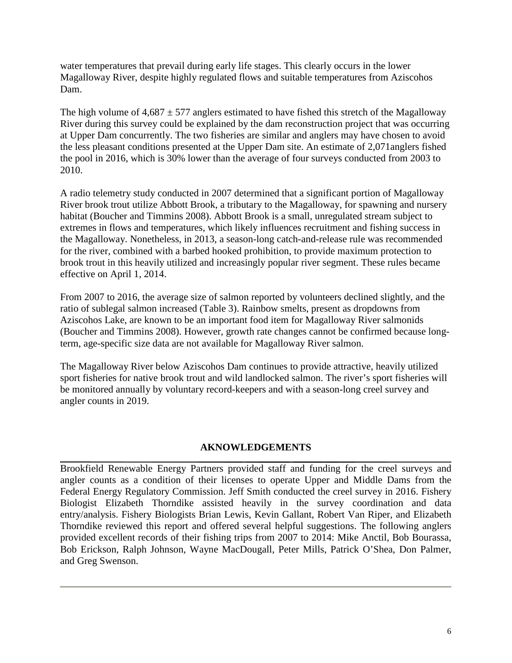water temperatures that prevail during early life stages. This clearly occurs in the lower Magalloway River, despite highly regulated flows and suitable temperatures from Aziscohos Dam.

The high volume of  $4,687 \pm 577$  anglers estimated to have fished this stretch of the Magalloway River during this survey could be explained by the dam reconstruction project that was occurring at Upper Dam concurrently. The two fisheries are similar and anglers may have chosen to avoid the less pleasant conditions presented at the Upper Dam site. An estimate of 2,071anglers fished the pool in 2016, which is 30% lower than the average of four surveys conducted from 2003 to 2010.

A radio telemetry study conducted in 2007 determined that a significant portion of Magalloway River brook trout utilize Abbott Brook, a tributary to the Magalloway, for spawning and nursery habitat (Boucher and Timmins 2008). Abbott Brook is a small, unregulated stream subject to extremes in flows and temperatures, which likely influences recruitment and fishing success in the Magalloway. Nonetheless, in 2013, a season-long catch-and-release rule was recommended for the river, combined with a barbed hooked prohibition, to provide maximum protection to brook trout in this heavily utilized and increasingly popular river segment. These rules became effective on April 1, 2014.

From 2007 to 2016, the average size of salmon reported by volunteers declined slightly, and the ratio of sublegal salmon increased (Table 3). Rainbow smelts, present as dropdowns from Aziscohos Lake, are known to be an important food item for Magalloway River salmonids (Boucher and Timmins 2008). However, growth rate changes cannot be confirmed because longterm, age-specific size data are not available for Magalloway River salmon.

The Magalloway River below Aziscohos Dam continues to provide attractive, heavily utilized sport fisheries for native brook trout and wild landlocked salmon. The river's sport fisheries will be monitored annually by voluntary record-keepers and with a season-long creel survey and angler counts in 2019.

#### **AKNOWLEDGEMENTS**

Brookfield Renewable Energy Partners provided staff and funding for the creel surveys and angler counts as a condition of their licenses to operate Upper and Middle Dams from the Federal Energy Regulatory Commission. Jeff Smith conducted the creel survey in 2016. Fishery Biologist Elizabeth Thorndike assisted heavily in the survey coordination and data entry/analysis. Fishery Biologists Brian Lewis, Kevin Gallant, Robert Van Riper, and Elizabeth Thorndike reviewed this report and offered several helpful suggestions. The following anglers provided excellent records of their fishing trips from 2007 to 2014: Mike Anctil, Bob Bourassa, Bob Erickson, Ralph Johnson, Wayne MacDougall, Peter Mills, Patrick O'Shea, Don Palmer, and Greg Swenson.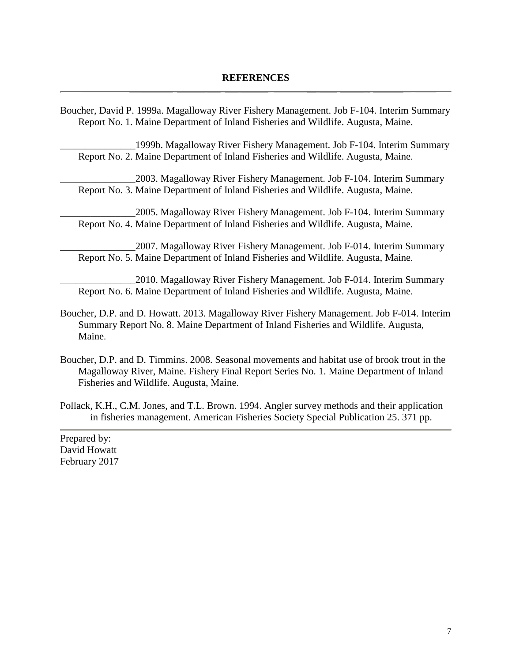Boucher, David P. 1999a. Magalloway River Fishery Management. Job F-104. Interim Summary Report No. 1. Maine Department of Inland Fisheries and Wildlife. Augusta, Maine.

\_\_\_\_\_\_\_\_\_\_\_\_\_\_\_1999b. Magalloway River Fishery Management. Job F-104. Interim Summary Report No. 2. Maine Department of Inland Fisheries and Wildlife. Augusta, Maine.

\_\_\_\_\_\_\_\_\_\_\_\_\_\_\_2003. Magalloway River Fishery Management. Job F-104. Interim Summary Report No. 3. Maine Department of Inland Fisheries and Wildlife. Augusta, Maine.

\_\_\_\_\_\_\_\_\_\_\_\_\_\_\_2005. Magalloway River Fishery Management. Job F-104. Interim Summary Report No. 4. Maine Department of Inland Fisheries and Wildlife. Augusta, Maine.

\_\_\_\_\_\_\_\_\_\_\_\_\_\_\_2007. Magalloway River Fishery Management. Job F-014. Interim Summary Report No. 5. Maine Department of Inland Fisheries and Wildlife. Augusta, Maine.

\_\_\_\_\_\_\_\_\_\_\_\_\_\_\_2010. Magalloway River Fishery Management. Job F-014. Interim Summary Report No. 6. Maine Department of Inland Fisheries and Wildlife. Augusta, Maine.

- Boucher, D.P. and D. Howatt. 2013. Magalloway River Fishery Management. Job F-014. Interim Summary Report No. 8. Maine Department of Inland Fisheries and Wildlife. Augusta, Maine.
- Boucher, D.P. and D. Timmins. 2008. Seasonal movements and habitat use of brook trout in the Magalloway River, Maine. Fishery Final Report Series No. 1. Maine Department of Inland Fisheries and Wildlife. Augusta, Maine.
- Pollack, K.H., C.M. Jones, and T.L. Brown. 1994. Angler survey methods and their application in fisheries management. American Fisheries Society Special Publication 25. 371 pp.

Prepared by: David Howatt February 2017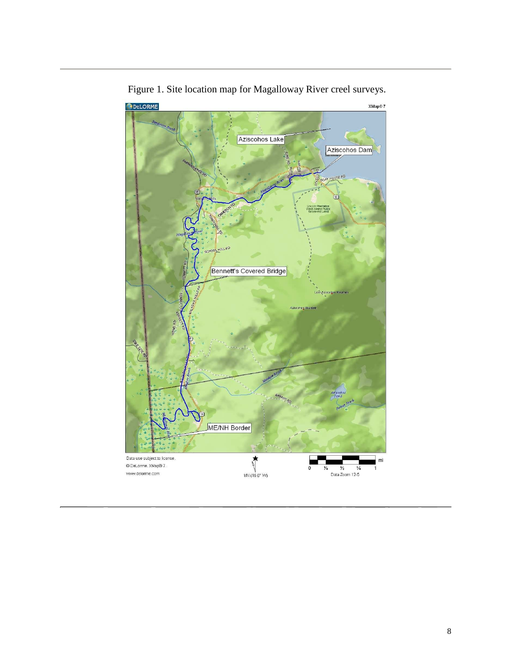

Figure 1. Site location map for Magalloway River creel surveys.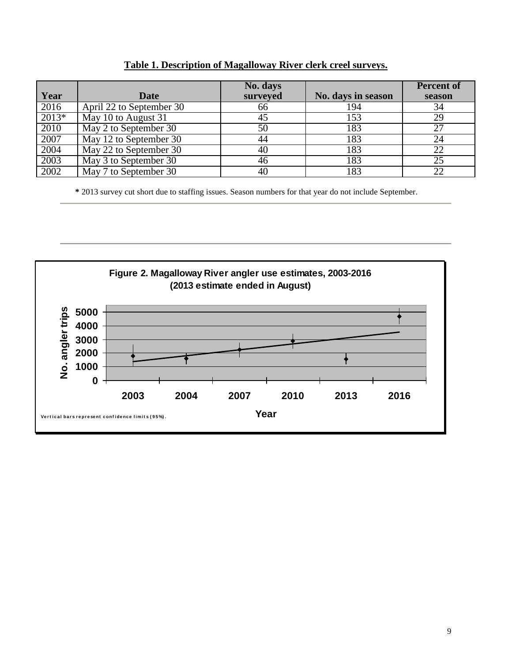| Year    | <b>Date</b>              | No. days<br>surveyed | No. days in season | <b>Percent of</b><br>season |
|---------|--------------------------|----------------------|--------------------|-----------------------------|
| 2016    | April 22 to September 30 | 66                   | 194                | 34                          |
| $2013*$ | May 10 to August 31      | 45                   | 153                | 29                          |
| 2010    | May 2 to September 30    | 50                   | 183                | 27                          |
| 2007    | May 12 to September 30   | 44                   | 183                | 24                          |
| 2004    | May 22 to September 30   | 40                   | 183                | 22                          |
| 2003    | May 3 to September 30    | 46                   | 183                | 25                          |
| 2002    | May 7 to September 30    | 40                   | 183                | 22                          |

#### **Table 1. Description of Magalloway River clerk creel surveys.**

**\*** 2013 survey cut short due to staffing issues. Season numbers for that year do not include September.

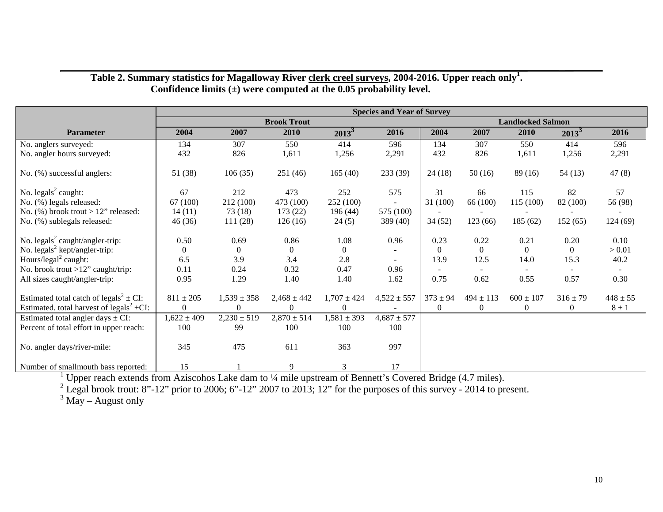|                                                           | <b>Species and Year of Survey</b> |                 |                 |                 |                          |                          |                |               |              |              |
|-----------------------------------------------------------|-----------------------------------|-----------------|-----------------|-----------------|--------------------------|--------------------------|----------------|---------------|--------------|--------------|
|                                                           | <b>Brook Trout</b>                |                 |                 |                 |                          | <b>Landlocked Salmon</b> |                |               |              |              |
| <b>Parameter</b>                                          | 2004                              | 2007            | 2010            | $2013^3$        | 2016                     | 2004                     | 2007           | 2010          | $2013^3$     | 2016         |
| No. anglers surveyed:                                     | 134                               | 307             | 550             | 414             | 596                      | 134                      | 307            | 550           | 414          | 596          |
| No. angler hours surveyed:                                | 432                               | 826             | 1,611           | 1,256           | 2,291                    | 432                      | 826            | 1,611         | 1,256        | 2,291        |
| No. (%) successful anglers:                               | 51(38)                            | 106(35)         | 251 (46)        | 165(40)         | 233 (39)                 | 24(18)                   | 50(16)         | 89(16)        | 54(13)       | 47(8)        |
| No. $legals2 caught:$                                     | 67                                | 212             | 473             | 252             | 575                      | 31                       | 66             | 115           | 82           | 57           |
| No. (%) legals released:                                  | 67 (100)                          | 212 (100)       | 473 (100)       | 252 (100)       |                          | 31(100)                  | 66 (100)       | 115 (100)     | 82 (100)     | 56 (98)      |
| No. $(\%)$ brook trout > 12" released:                    | 14(11)                            | 73(18)          | 173(22)         | 196(44)         | 575 (100)                |                          |                |               |              |              |
| No. (%) sublegals released:                               | 46(36)                            | 111(28)         | 126(16)         | 24(5)           | 389 (40)                 | 34(52)                   | 123(66)        | 185 (62)      | 152(65)      | 124(69)      |
| No. legals <sup>2</sup> caught/angler-trip:               | 0.50                              | 0.69            | 0.86            | 1.08            | 0.96                     | 0.23                     | 0.22           | 0.21          | 0.20         | 0.10         |
| No. $legals2 kept/angle-trip:$                            | $\overline{0}$                    | $\theta$        | $\overline{0}$  | $\overline{0}$  |                          | $\overline{0}$           | $\theta$       | $\theta$      | $\Omega$     | > 0.01       |
| Hours/legal <sup>2</sup> caught:                          | 6.5                               | 3.9             | 3.4             | 2.8             | $\overline{\phantom{a}}$ | 13.9                     | 12.5           | 14.0          | 15.3         | 40.2         |
| No. brook trout $>12$ " caught/trip:                      | 0.11                              | 0.24            | 0.32            | 0.47            | 0.96                     |                          |                |               |              |              |
| All sizes caught/angler-trip:                             | 0.95                              | 1.29            | 1.40            | 1.40            | 1.62                     | 0.75                     | 0.62           | 0.55          | 0.57         | 0.30         |
| Estimated total catch of legals <sup>2</sup> $\pm$ CI:    | $811\pm205$                       | $1,539 \pm 358$ | $2,468 \pm 442$ | $1,707 \pm 424$ | $4,522 \pm 557$          | $373 \pm 94$             | $494 \pm 113$  | $600 \pm 107$ | $316 \pm 79$ | $448 \pm 55$ |
| Estimated. total harvest of legals <sup>2</sup> $\pm$ CI: | $\overline{0}$                    | $\theta$        |                 | 0               |                          | $\overline{0}$           | $\overline{0}$ | $\theta$      | 0            | $8 \pm 1$    |
| Estimated total angler days $\pm$ CI:                     | $1,622 \pm 409$                   | $2,230 \pm 519$ | $2,870 \pm 514$ | $1,581 \pm 393$ | $4,687 \pm 577$          |                          |                |               |              |              |
| Percent of total effort in upper reach:                   | 100                               | 99              | 100             | 100             | 100                      |                          |                |               |              |              |
| No. angler days/river-mile:                               | 345                               | 475             | 611             | 363             | 997                      |                          |                |               |              |              |
| Number of smallmouth bass reported:                       | 15                                |                 | 9               | 3               | 17                       |                          |                |               |              |              |

#### **Table 2. Summary statistics for Magalloway River clerk creel surveys, 2004-2016. Upper reach only<sup>1</sup>. Confidence limits (±) were computed at the 0.05 probability level.**

Number of smallmouth bass reported: 15 1 9 3 17 <sup>1</sup> Upper reach extends from Aziscohos Lake dam to ¼ mile upstream of Bennett's Covered Bridge (4.7 miles). <sup>2</sup> Legal brook trout: 8"-12" prior to 2006; 6"-12" 2007 to 2013; 12" for the purposes of this survey - 2014 to present.

 $3$  May – August only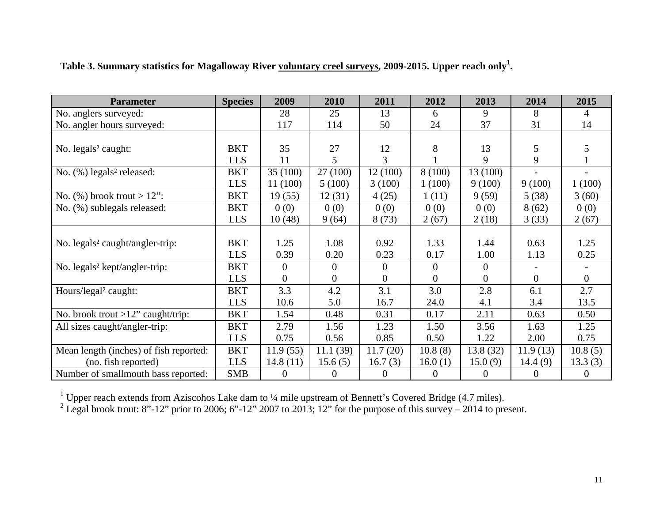| <b>Parameter</b>                            | <b>Species</b> | 2009             | 2010           | 2011     | 2012           | 2013           | 2014           | 2015           |
|---------------------------------------------|----------------|------------------|----------------|----------|----------------|----------------|----------------|----------------|
| No. anglers surveyed:                       |                | 28               | 25             | 13       | 6              | 9              | 8              | 4              |
| No. angler hours surveyed:                  |                | 117              | 114            | 50       | 24             | 37             | 31             | 14             |
|                                             |                |                  |                |          |                |                |                |                |
| No. legals <sup>2</sup> caught:             | <b>BKT</b>     | 35               | 27             | 12       | 8              | 13             | 5              | 5              |
|                                             | <b>LLS</b>     | 11               | 5              | 3        |                | 9              | 9              |                |
| No. (%) legals <sup>2</sup> released:       | <b>BKT</b>     | 35(100)          | 27 (100)       | 12 (100) | 8(100)         | 13 (100)       |                |                |
|                                             | <b>LLS</b>     | 11 (100)         | 5(100)         | 3(100)   | 1(100)         | 9(100)         | 9(100)         | 1(100)         |
| No. $(\%)$ brook trout > 12":               | <b>BKT</b>     | 19(55)           | 12(31)         | 4(25)    | 1(11)          | 9(59)          | 5(38)          | 3(60)          |
| No. (%) sublegals released:                 | <b>BKT</b>     | 0(0)             | 0(0)           | 0(0)     | 0(0)           | 0(0)           | 8(62)          | 0(0)           |
|                                             | <b>LLS</b>     | 10(48)           | 9(64)          | 8(73)    | 2(67)          | 2(18)          | 3(33)          | 2(67)          |
|                                             |                |                  |                |          |                |                |                |                |
| No. legals <sup>2</sup> caught/angler-trip: | <b>BKT</b>     | 1.25             | 1.08           | 0.92     | 1.33           | 1.44           | 0.63           | 1.25           |
|                                             | <b>LLS</b>     | 0.39             | 0.20           | 0.23     | 0.17           | 1.00           | 1.13           | 0.25           |
| No. legals <sup>2</sup> kept/angler-trip:   | <b>BKT</b>     | $\theta$         | $\overline{0}$ | $\theta$ | $\theta$       | $\mathbf{0}$   |                |                |
|                                             | <b>LLS</b>     | $\overline{0}$   | $\overline{0}$ | $\theta$ | $\Omega$       | $\overline{0}$ | $\overline{0}$ | $\overline{0}$ |
| Hours/legal <sup>2</sup> caught:            | <b>BKT</b>     | 3.3              | 4.2            | 3.1      | 3.0            | 2.8            | 6.1            | 2.7            |
|                                             | <b>LLS</b>     | 10.6             | 5.0            | 16.7     | 24.0           | 4.1            | 3.4            | 13.5           |
| No. brook trout $>12$ " caught/trip:        | <b>BKT</b>     | 1.54             | 0.48           | 0.31     | 0.17           | 2.11           | 0.63           | 0.50           |
| All sizes caught/angler-trip:               | <b>BKT</b>     | 2.79             | 1.56           | 1.23     | 1.50           | 3.56           | 1.63           | 1.25           |
|                                             | <b>LLS</b>     | 0.75             | 0.56           | 0.85     | 0.50           | 1.22           | 2.00           | 0.75           |
| Mean length (inches) of fish reported:      | <b>BKT</b>     | 11.9(55)         | 11.1(39)       | 11.7(20) | 10.8(8)        | 13.8(32)       | 11.9(13)       | 10.8(5)        |
| (no. fish reported)                         | <b>LLS</b>     | 14.8(11)         | 15.6(5)        | 16.7(3)  | 16.0(1)        | 15.0(9)        | 14.4(9)        | 13.3(3)        |
| Number of smallmouth bass reported:         | <b>SMB</b>     | $\boldsymbol{0}$ | $\overline{0}$ | $\theta$ | $\overline{0}$ | $\theta$       | $\overline{0}$ | $\overline{0}$ |

**Table 3. Summary statistics for Magalloway River voluntary creel surveys, 2009-2015. Upper reach only<sup>1</sup>.** 

<sup>1</sup> Upper reach extends from Aziscohos Lake dam to ¼ mile upstream of Bennett's Covered Bridge (4.7 miles). <sup>2</sup> Legal brook trout: 8"-12" prior to 2006; 6"-12" 2007 to 2013; 12" for the purpose of this survey – 2014 to pr